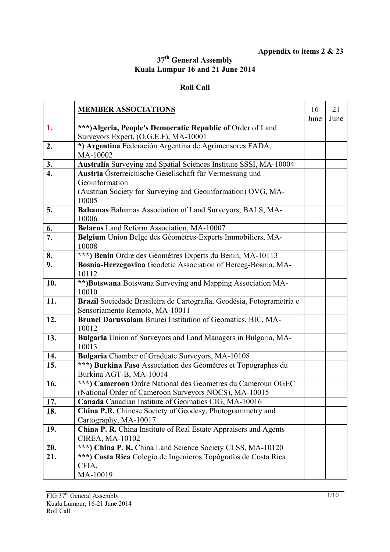## **Appendix to items 2 & 23**

## **37th General Assembly Kuala Lumpur 16 and 21 June 2014**

## **Roll Call**

|                  | <b>MEMBER ASSOCIATIONS</b>                                                                                                                | 16   | 21   |
|------------------|-------------------------------------------------------------------------------------------------------------------------------------------|------|------|
| 1.               | ***) Algeria, People's Democratic Republic of Order of Land                                                                               | June | June |
|                  | Surveyors Expert. (O.G.E.F), MA-10001                                                                                                     |      |      |
| 2.               | *) Argentina Federación Argentina de Agrimensores FADA,<br>MA-10002                                                                       |      |      |
| 3.               | Australia Surveying and Spatial Sciences Institute SSSI, MA-10004                                                                         |      |      |
| $\overline{4}$ . | Austria Österreichische Gesellschaft für Vermessung und<br>Geoinformation<br>(Austrian Society for Surveying and Geoinformation) OVG, MA- |      |      |
|                  | 10005                                                                                                                                     |      |      |
| 5.               | Bahamas Bahamas Association of Land Surveyors, BALS, MA-<br>10006                                                                         |      |      |
| 6.               | Belarus Land Reform Association, MA-10007                                                                                                 |      |      |
| 7.               | Belgium Union Belge des Géomètres-Experts Immobiliers, MA-<br>10008                                                                       |      |      |
| 8.               | ***) Benin Ordre des Géomètres Experts du Benin, MA-10113                                                                                 |      |      |
| 9.               | Bosnia-Herzegovina Geodetic Association of Herceg-Bosnia, MA-<br>10112                                                                    |      |      |
| 10.              | **)Botswana Botswana Surveying and Mapping Association MA-<br>10010                                                                       |      |      |
| 11.              | Brazil Sociedade Brasileira de Cartografia, Geodésia, Fotogrametria e<br>Sensoriamento Remoto, MA-10011                                   |      |      |
| 12.              | Brunei Darussalam Brunei Institution of Geomatics, BIC, MA-<br>10012                                                                      |      |      |
| 13.              | Bulgaria Union of Surveyors and Land Managers in Bulgaria, MA-<br>10013                                                                   |      |      |
| 14.              | Bulgaria Chamber of Graduate Surveyors, MA-10108                                                                                          |      |      |
| 15.              | ***) Burkina Faso Association des Géomètres et Topographes du<br>Burkina AGT-B, MA-10014                                                  |      |      |
| 16.              | ***) Cameroon Ordre National des Geometres du Cameroun OGEC<br>(National Order of Cameroon Surveyors NOCS), MA-10015                      |      |      |
| 17.              | Canada Canadian Institute of Geomatics CIG, MA-10016                                                                                      |      |      |
| 18.              | China P.R. Chinese Society of Geodesy, Photogrammetry and<br>Cartography, MA-10017                                                        |      |      |
| 19.              | China P. R. China Institute of Real Estate Appraisers and Agents<br>CIREA, MA-10102                                                       |      |      |
| 20.              | ***) China P. R. China Land Science Society CLSS, MA-10120                                                                                |      |      |
| 21.              | ***) Costa Rica Colegio de Ingenieros Topógrafos de Costa Rica<br>CFIA,<br>MA-10019                                                       |      |      |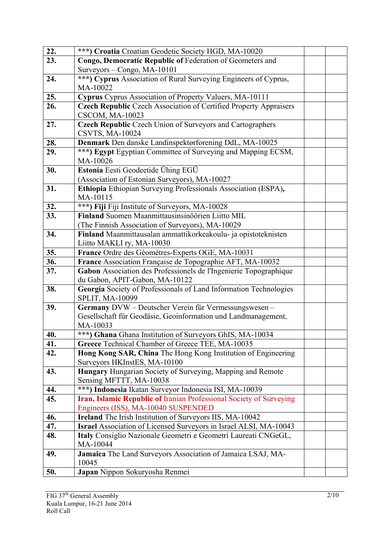| 22.        | ***) Croatia Croatian Geodetic Society HGD, MA-10020                                                              |  |
|------------|-------------------------------------------------------------------------------------------------------------------|--|
| 23.        | Congo, Democratic Republic of Federation of Geometers and                                                         |  |
|            | Surveyors - Congo, MA-10101                                                                                       |  |
| 24.        | ***) Cyprus Association of Rural Surveying Engineers of Cyprus,                                                   |  |
|            | MA-10022                                                                                                          |  |
| 25.        | Cyprus Cyprus Association of Property Valuers, MA-10111                                                           |  |
| 26.        | <b>Czech Republic Czech Association of Certified Property Appraisers</b>                                          |  |
|            | <b>CSCOM, MA-10023</b>                                                                                            |  |
| 27.        | <b>Czech Republic Czech Union of Surveyors and Cartographers</b>                                                  |  |
|            | <b>CSVTS, MA-10024</b>                                                                                            |  |
| 28.<br>29. | Denmark Den danske Landinspektørforening DdL, MA-10025                                                            |  |
|            | ***) Egypt Egyptian Committee of Surveying and Mapping ECSM,<br>MA-10026                                          |  |
| 30.        | Estonia Eesti Geodeetide Ühing EGÜ                                                                                |  |
|            | (Association of Estonian Surveyors), MA-10027                                                                     |  |
| 31.        | Ethiopia Ethiopian Surveying Professionals Association (ESPA),                                                    |  |
|            | MA-10115                                                                                                          |  |
| 32.        | ***) Fiji Fiji Institute of Surveyors, MA-10028                                                                   |  |
| 33.        | Finland Suomen Maanmittausinsinöörien Liitto MIL                                                                  |  |
|            | (The Finnish Association of Surveyors), MA-10029                                                                  |  |
| 34.        | Finland Maanmittausalan ammattikorkeakoulu- ja opistoteknisten                                                    |  |
|            | Liitto MAKLI ry, MA-10030                                                                                         |  |
| 35.        | France Ordre des Géomètres-Experts OGE, MA-10031                                                                  |  |
| 36.        | France Association Française de Topographie AFT, MA-10032                                                         |  |
| 37.        | Gabon Association des Professionels de l'Ingenierie Topographique                                                 |  |
|            | du Gabon, APIT-Gabon, MA-10122                                                                                    |  |
| 38.        | Georgia Society of Professionals of Land Information Technologies                                                 |  |
|            | SPLIT, MA-10099                                                                                                   |  |
| 39.        | Germany DVW - Deutscher Verein für Vermessungswesen -                                                             |  |
|            | Gesellschaft für Geodäsie, Geoinformation und Landmanagement,                                                     |  |
|            | MA-10033                                                                                                          |  |
| 40.<br>41. | ***) Ghana Ghana Institution of Surveyors GhIS, MA-10034                                                          |  |
| 42.        | Greece Technical Chamber of Greece TEE, MA-10035<br>Hong Kong SAR, China The Hong Kong Institution of Engineering |  |
|            | Surveyors HKInstES, MA-10100                                                                                      |  |
| 43.        | <b>Hungary</b> Hungarian Society of Surveying, Mapping and Remote                                                 |  |
|            | Sensing MFTTT, MA-10038                                                                                           |  |
| 44.        | ***) Indonesia Ikatan Surveyor Indonesia ISI, MA-10039                                                            |  |
| 45.        | Iran, Islamic Republic of Iranian Professional Society of Surveying                                               |  |
|            | Engineers (ISS), MA-10040 SUSPENDED                                                                               |  |
| 46.        | <b>Ireland</b> The Irish Institution of Surveyors IIS, MA-10042                                                   |  |
| 47.        | <b>Israel</b> Association of Licensed Surveyors in Israel ALSI, MA-10043                                          |  |
| 48.        | Italy Consiglio Nazionale Geometri e Geometri Laureati CNGeGL,                                                    |  |
|            | MA-10044                                                                                                          |  |
| 49.        | Jamaica The Land Surveyors Association of Jamaica LSAJ, MA-                                                       |  |
|            | 10045                                                                                                             |  |
| 50.        | Japan Nippon Sokuryosha Renmei                                                                                    |  |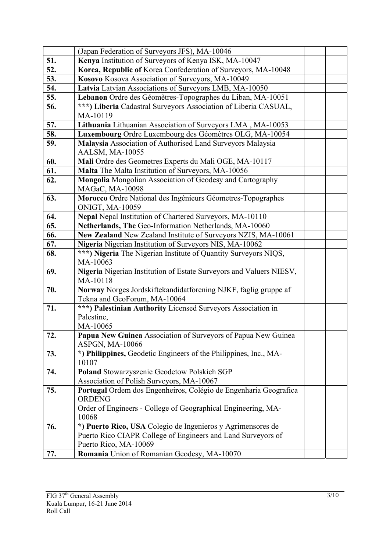|     | (Japan Federation of Surveyors JFS), MA-10046                                                |  |
|-----|----------------------------------------------------------------------------------------------|--|
| 51. | Kenya Institution of Surveyors of Kenya ISK, MA-10047                                        |  |
| 52. | Korea, Republic of Korea Confederation of Surveyors, MA-10048                                |  |
| 53. | Kosovo Kosova Association of Surveyors, MA-10049                                             |  |
| 54. | Latvia Latvian Associations of Surveyors LMB, MA-10050                                       |  |
| 55. | Lebanon Ordre des Géomètres-Topographes du Liban, MA-10051                                   |  |
| 56. | ***) Liberia Cadastral Surveyors Association of Liberia CASUAL,                              |  |
|     | MA-10119                                                                                     |  |
| 57. | Lithuania Lithuanian Association of Surveyors LMA, MA-10053                                  |  |
| 58. | Luxembourg Ordre Luxembourg des Géomètres OLG, MA-10054                                      |  |
| 59. | Malaysia Association of Authorised Land Surveyors Malaysia                                   |  |
|     | AALSM, MA-10055                                                                              |  |
| 60. | Mali Ordre des Geometres Experts du Mali OGE, MA-10117                                       |  |
| 61. | Malta The Malta Institution of Surveyors, MA-10056                                           |  |
| 62. | Mongolia Mongolian Association of Geodesy and Cartography                                    |  |
|     | MAGaC, MA-10098                                                                              |  |
| 63. | Morocco Ordre National des Ingénieurs Géometres-Topographes                                  |  |
|     | <b>ONIGT, MA-10059</b>                                                                       |  |
| 64. | Nepal Nepal Institution of Chartered Surveyors, MA-10110                                     |  |
| 65. | Netherlands, The Geo-Information Netherlands, MA-10060                                       |  |
| 66. | New Zealand New Zealand Institute of Surveyors NZIS, MA-10061                                |  |
| 67. | Nigeria Nigerian Institution of Surveyors NIS, MA-10062                                      |  |
| 68. | ***) Nigeria The Nigerian Institute of Quantity Surveyors NIQS,                              |  |
|     | MA-10063                                                                                     |  |
| 69. | Nigeria Nigerian Institution of Estate Surveyors and Valuers NIESV,                          |  |
|     | MA-10118                                                                                     |  |
| 70. | Norway Norges Jordskiftekandidatforening NJKF, faglig gruppe af                              |  |
| 71. | Tekna and GeoForum, MA-10064<br>***) Palestinian Authority Licensed Surveyors Association in |  |
|     | Palestine,                                                                                   |  |
|     | MA-10065                                                                                     |  |
| 72. | Papua New Guinea Association of Surveyors of Papua New Guinea                                |  |
|     | ASPGN, MA-10066                                                                              |  |
| 73. | *) Philippines, Geodetic Engineers of the Philippines, Inc., MA-                             |  |
|     | 10107                                                                                        |  |
| 74. | Poland Stowarzyszenie Geodetow Polskich SGP                                                  |  |
|     | Association of Polish Surveyors, MA-10067                                                    |  |
| 75. | Portugal Ordem dos Engenheiros, Colégio de Engenharia Geografica                             |  |
|     | <b>ORDENG</b>                                                                                |  |
|     | Order of Engineers - College of Geographical Engineering, MA-                                |  |
|     | 10068                                                                                        |  |
| 76. | *) Puerto Rico, USA Colegio de Ingenieros y Agrimensores de                                  |  |
|     | Puerto Rico CIAPR College of Engineers and Land Surveyors of                                 |  |
|     | Puerto Rico, MA-10069                                                                        |  |
| 77. | Romania Union of Romanian Geodesy, MA-10070                                                  |  |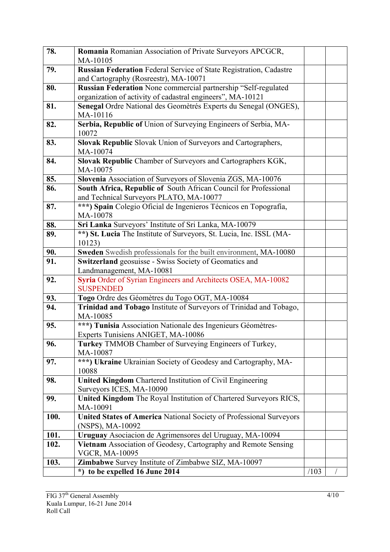| 78.  | Romania Romanian Association of Private Surveyors APCGCR,<br>MA-10105                   |      |  |
|------|-----------------------------------------------------------------------------------------|------|--|
| 79.  | Russian Federation Federal Service of State Registration, Cadastre                      |      |  |
|      | and Cartography (Rosreestr), MA-10071                                                   |      |  |
| 80.  | Russian Federation None commercial partnership "Self-regulated                          |      |  |
|      | organization of activity of cadastral engineers", MA-10121                              |      |  |
| 81.  | Senegal Ordre National des Geomètrés Experts du Senegal (ONGES),                        |      |  |
|      | MA-10116                                                                                |      |  |
| 82.  | Serbia, Republic of Union of Surveying Engineers of Serbia, MA-<br>10072                |      |  |
| 83.  | Slovak Republic Slovak Union of Surveyors and Cartographers,                            |      |  |
|      | MA-10074                                                                                |      |  |
| 84.  | Slovak Republic Chamber of Surveyors and Cartographers KGK,                             |      |  |
|      | MA-10075                                                                                |      |  |
| 85.  | Slovenia Association of Surveyors of Slovenia ZGS, MA-10076                             |      |  |
| 86.  | South Africa, Republic of South African Council for Professional                        |      |  |
|      | and Technical Surveyors PLATO, MA-10077                                                 |      |  |
| 87.  | ***) Spain Colegio Oficial de Ingenieros Técnicos en Topografía,                        |      |  |
|      | MA-10078                                                                                |      |  |
| 88.  | Sri Lanka Surveyors' Institute of Sri Lanka, MA-10079                                   |      |  |
| 89.  | **) St. Lucia The Institute of Surveyors, St. Lucia, Inc. ISSL (MA-<br>10123)           |      |  |
| 90.  | Sweden Swedish professionals for the built environment, MA-10080                        |      |  |
| 91.  | Switzerland geosuisse - Swiss Society of Geomatics and                                  |      |  |
|      | Landmanagement, MA-10081                                                                |      |  |
| 92.  | Syria Order of Syrian Engineers and Architects OSEA, MA-10082                           |      |  |
|      | <b>SUSPENDED</b>                                                                        |      |  |
| 93.  | Togo Ordre des Géomètres du Togo OGT, MA-10084                                          |      |  |
| 94.  | Trinidad and Tobago Institute of Surveyors of Trinidad and Tobago,<br>MA-10085          |      |  |
| 95.  | ***) Tunisia Association Nationale des Ingenieurs Géomètres-                            |      |  |
|      | Experts Tunisiens ANIGET, MA-10086                                                      |      |  |
| 96.  | <b>Turkey</b> TMMOB Chamber of Surveying Engineers of Turkey,                           |      |  |
|      | MA-10087                                                                                |      |  |
| 97.  | ***) Ukraine Ukrainian Society of Geodesy and Cartography, MA-                          |      |  |
|      | 10088                                                                                   |      |  |
| 98.  | <b>United Kingdom</b> Chartered Institution of Civil Engineering                        |      |  |
|      | Surveyors ICES, MA-10090                                                                |      |  |
| 99.  | United Kingdom The Royal Institution of Chartered Surveyors RICS,                       |      |  |
|      | MA-10091                                                                                |      |  |
| 100. | United States of America National Society of Professional Surveyors<br>(NSPS), MA-10092 |      |  |
| 101. | Uruguay Asociacion de Agrimensores del Uruguay, MA-10094                                |      |  |
| 102. | Vietnam Association of Geodesy, Cartography and Remote Sensing                          |      |  |
|      | <b>VGCR, MA-10095</b>                                                                   |      |  |
| 103. | Zimbabwe Survey Institute of Zimbabwe SIZ, MA-10097                                     |      |  |
|      | to be expelled 16 June 2014<br>*)                                                       | /103 |  |
|      |                                                                                         |      |  |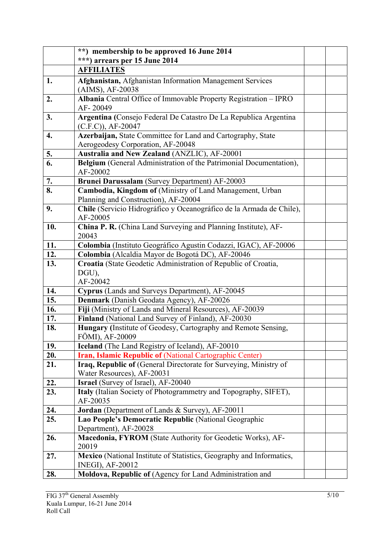|     | **) membership to be approved 16 June 2014                                                      |  |
|-----|-------------------------------------------------------------------------------------------------|--|
|     | ***) arrears per 15 June 2014                                                                   |  |
|     | <b>AFFILIATES</b>                                                                               |  |
| 1.  | Afghanistan, Afghanistan Information Management Services                                        |  |
|     | (AIMS), AF-20038                                                                                |  |
| 2.  | Albania Central Office of Immovable Property Registration - IPRO                                |  |
|     | AF-20049                                                                                        |  |
| 3.  | Argentina (Consejo Federal De Catastro De La Republica Argentina                                |  |
|     | $(C.F.C)$ , AF-20047                                                                            |  |
| 4.  | Azerbaijan, State Committee for Land and Cartography, State                                     |  |
| 5.  | Aerogeodesy Corporation, AF-20048<br>Australia and New Zealand (ANZLIC), AF-20001               |  |
| 6.  | Belgium (General Administration of the Patrimonial Documentation),                              |  |
|     | AF-20002                                                                                        |  |
| 7.  | Brunei Darussalam (Survey Department) AF-20003                                                  |  |
| 8.  | Cambodia, Kingdom of (Ministry of Land Management, Urban                                        |  |
|     | Planning and Construction), AF-20004                                                            |  |
| 9.  | Chile (Servicio Hidrográfico y Oceanográfico de la Armada de Chile),                            |  |
|     | AF-20005                                                                                        |  |
| 10. | China P. R. (China Land Surveying and Planning Institute), AF-<br>20043                         |  |
| 11. | Colombia (Instituto Geográfico Agustin Codazzi, IGAC), AF-20006                                 |  |
| 12. | Colombia (Alcaldia Mayor de Bogotá DC), AF-20046                                                |  |
| 13. | Croatia (State Geodetic Administration of Republic of Croatia,                                  |  |
|     | DGU),                                                                                           |  |
|     | AF-20042                                                                                        |  |
| 14. | Cyprus (Lands and Surveys Department), AF-20045                                                 |  |
| 15. | Denmark (Danish Geodata Agency), AF-20026                                                       |  |
| 16. | Fiji (Ministry of Lands and Mineral Resources), AF-20039                                        |  |
| 17. | Finland (National Land Survey of Finland), AF-20030                                             |  |
| 18. | Hungary (Institute of Geodesy, Cartography and Remote Sensing,                                  |  |
|     | FÖMI), AF-20009                                                                                 |  |
| 19. | Iceland (The Land Registry of Iceland), AF-20010                                                |  |
| 20. | Iran, Islamic Republic of (National Cartographic Center)                                        |  |
| 21. | Iraq, Republic of (General Directorate for Surveying, Ministry of<br>Water Resources), AF-20031 |  |
| 22. | Israel (Survey of Israel), AF-20040                                                             |  |
| 23. | Italy (Italian Society of Photogrammetry and Topography, SIFET),                                |  |
|     | AF-20035                                                                                        |  |
| 24. | Jordan (Department of Lands & Survey), AF-20011                                                 |  |
| 25. | Lao People's Democratic Republic (National Geographic<br>Department), AF-20028                  |  |
| 26. | Macedonia, FYROM (State Authority for Geodetic Works), AF-                                      |  |
|     | 20019                                                                                           |  |
| 27. | Mexico (National Institute of Statistics, Geography and Informatics,                            |  |
|     | <b>INEGI), AF-20012</b>                                                                         |  |
| 28. | Moldova, Republic of (Agency for Land Administration and                                        |  |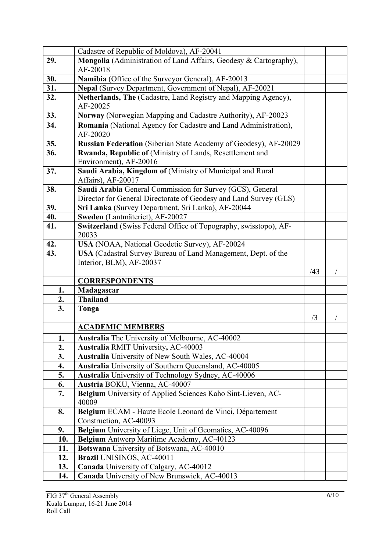|              | Cadastre of Republic of Moldova), AF-20041                                                                 |     |  |
|--------------|------------------------------------------------------------------------------------------------------------|-----|--|
| 29.          | Mongolia (Administration of Land Affairs, Geodesy & Cartography),                                          |     |  |
|              | AF-20018                                                                                                   |     |  |
| 30.          | Namibia (Office of the Surveyor General), AF-20013                                                         |     |  |
| 31.          | Nepal (Survey Department, Government of Nepal), AF-20021                                                   |     |  |
| 32.          | Netherlands, The (Cadastre, Land Registry and Mapping Agency),<br>AF-20025                                 |     |  |
| 33.          | Norway (Norwegian Mapping and Cadastre Authority), AF-20023                                                |     |  |
| 34.          | Romania (National Agency for Cadastre and Land Administration),                                            |     |  |
|              | AF-20020                                                                                                   |     |  |
| 35.          | Russian Federation (Siberian State Academy of Geodesy), AF-20029                                           |     |  |
| 36.          | Rwanda, Republic of (Ministry of Lands, Resettlement and                                                   |     |  |
|              | Environment), AF-20016                                                                                     |     |  |
| 37.          | Saudi Arabia, Kingdom of (Ministry of Municipal and Rural                                                  |     |  |
|              | Affairs), AF-20017                                                                                         |     |  |
| 38.          | Saudi Arabia General Commission for Survey (GCS), General                                                  |     |  |
|              | Director for General Directorate of Geodesy and Land Survey (GLS)                                          |     |  |
| 39.          | Sri Lanka (Survey Department, Sri Lanka), AF-20044                                                         |     |  |
| 40.          | Sweden (Lantmäteriet), AF-20027                                                                            |     |  |
| 41.          | Switzerland (Swiss Federal Office of Topography, swisstopo), AF-                                           |     |  |
|              | 20033                                                                                                      |     |  |
| 42.          | USA (NOAA, National Geodetic Survey), AF-20024                                                             |     |  |
| 43.          | USA (Cadastral Survey Bureau of Land Management, Dept. of the                                              |     |  |
|              | Interior, BLM), AF-20037                                                                                   |     |  |
|              |                                                                                                            |     |  |
|              |                                                                                                            | /43 |  |
|              | <b>CORRESPONDENTS</b>                                                                                      |     |  |
| 1.           | Madagascar                                                                                                 |     |  |
| 2.           | <b>Thailand</b>                                                                                            |     |  |
| 3.           | Tonga                                                                                                      |     |  |
|              |                                                                                                            | /3  |  |
|              | <b>ACADEMIC MEMBERS</b>                                                                                    |     |  |
| $\mathbf{1}$ | Australia The University of Melbourne, AC-40002                                                            |     |  |
| 2.           | <b>Australia RMIT University, AC-40003</b>                                                                 |     |  |
| 3.<br>4.     | Australia University of New South Wales, AC-40004<br>Australia University of Southern Queensland, AC-40005 |     |  |
| 5.           | Australia University of Technology Sydney, AC-40006                                                        |     |  |
| 6.           | Austria BOKU, Vienna, AC-40007                                                                             |     |  |
| 7.           | Belgium University of Applied Sciences Kaho Sint-Lieven, AC-                                               |     |  |
|              | 40009                                                                                                      |     |  |
| 8.           | Belgium ECAM - Haute Ecole Leonard de Vinci, Département                                                   |     |  |
|              | Construction, AC-40093                                                                                     |     |  |
| 9.           | Belgium University of Liege, Unit of Geomatics, AC-40096                                                   |     |  |
| 10.          | Belgium Antwerp Maritime Academy, AC-40123                                                                 |     |  |
| 11.          | Botswana University of Botswana, AC-40010                                                                  |     |  |
| 12.          | Brazil UNISINOS, AC-40011                                                                                  |     |  |
| 13.<br>14.   | Canada University of Calgary, AC-40012<br>Canada University of New Brunswick, AC-40013                     |     |  |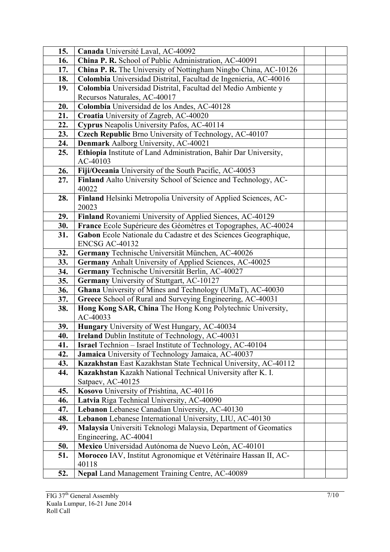| 15. | Canada Université Laval, AC-40092                                        |  |
|-----|--------------------------------------------------------------------------|--|
| 16. | China P. R. School of Public Administration, AC-40091                    |  |
| 17. | China P. R. The University of Nottingham Ningbo China, AC-10126          |  |
| 18. | Colombia Universidad Distrital, Facultad de Ingenieria, AC-40016         |  |
| 19. | Colombia Universidad Distrital, Facultad del Medio Ambiente y            |  |
|     | Recursos Naturales, AC-40017                                             |  |
| 20. | Colombia Universidad de los Andes, AC-40128                              |  |
| 21. | Croatia University of Zagreb, AC-40020                                   |  |
| 22. | Cyprus Neapolis University Pafos, AC-40114                               |  |
| 23. | Czech Republic Brno University of Technology, AC-40107                   |  |
| 24. | Denmark Aalborg University, AC-40021                                     |  |
| 25. | Ethiopia Institute of Land Administration, Bahir Dar University,         |  |
|     | AC-40103                                                                 |  |
| 26. | Fiji/Oceania University of the South Pacific, AC-40053                   |  |
| 27. | Finland Aalto University School of Science and Technology, AC-<br>40022  |  |
| 28. | Finland Helsinki Metropolia University of Applied Sciences, AC-<br>20023 |  |
| 29. | Finland Rovaniemi University of Applied Siences, AC-40129                |  |
| 30. | France Ecole Supérieure des Géomètres et Topographes, AC-40024           |  |
| 31. | Gabon Ecole Nationale du Cadastre et des Sciences Geographique,          |  |
|     | <b>ENCSG AC-40132</b>                                                    |  |
| 32. | Germany Technische Universität München, AC-40026                         |  |
| 33. | Germany Anhalt University of Applied Sciences, AC-40025                  |  |
| 34. | Germany Technische Universität Berlin, AC-40027                          |  |
| 35. | Germany University of Stuttgart, AC-10127                                |  |
| 36. | Ghana University of Mines and Technology (UMaT), AC-40030                |  |
| 37. | Greece School of Rural and Surveying Engineering, AC-40031               |  |
| 38. | Hong Kong SAR, China The Hong Kong Polytechnic University,<br>AC-40033   |  |
| 39. | Hungary University of West Hungary, AC-40034                             |  |
| 40. | <b>Ireland</b> Dublin Institute of Technology, AC-40031                  |  |
| 41. | <b>Israel</b> Technion – Israel Institute of Technology, AC-40104        |  |
| 42. | Jamaica University of Technology Jamaica, AC-40037                       |  |
| 43. | Kazakhstan East Kazakhstan State Technical University, AC-40112          |  |
| 44. | Kazakhstan Kazakh National Technical University after K. I.              |  |
|     | Satpaev, AC-40125                                                        |  |
| 45. | Kosovo University of Prishtina, AC-40116                                 |  |
| 46. | Latvia Riga Technical University, AC-40090                               |  |
| 47. | Lebanon Lebanese Canadian University, AC-40130                           |  |
| 48. | Lebanon Lebanese International University, LIU, AC-40130                 |  |
| 49. | Malaysia Universiti Teknologi Malaysia, Department of Geomatics          |  |
|     | Engineering, AC-40041                                                    |  |
| 50. | Mexico Universidad Autónoma de Nuevo León, AC-40101                      |  |
| 51. | Morocco IAV, Institut Agronomique et Vétérinaire Hassan II, AC-<br>40118 |  |
| 52. | Nepal Land Management Training Centre, AC-40089                          |  |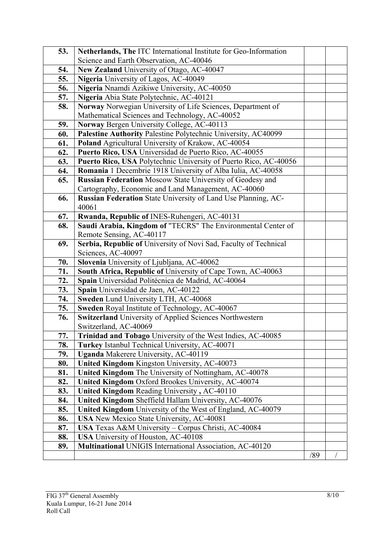| 53.        | Netherlands, The ITC International Institute for Geo-Information                                          |     |  |
|------------|-----------------------------------------------------------------------------------------------------------|-----|--|
|            | Science and Earth Observation, AC-40046                                                                   |     |  |
| 54.        | New Zealand University of Otago, AC-40047                                                                 |     |  |
| 55.        | Nigeria University of Lagos, AC-40049                                                                     |     |  |
| 56.        | Nigeria Nnamdi Azikiwe University, AC-40050                                                               |     |  |
| 57.        | Nigeria Abia State Polytechnic, AC-40121                                                                  |     |  |
| 58.        | Norway Norwegian University of Life Sciences, Department of                                               |     |  |
|            | Mathematical Sciences and Technology, AC-40052                                                            |     |  |
| 59.        | Norway Bergen University College, AC-40113                                                                |     |  |
| 60.        | Palestine Authority Palestine Polytechnic University, AC40099                                             |     |  |
| 61.        | Poland Agricultural University of Krakow, AC-40054                                                        |     |  |
| 62.        | Puerto Rico, USA Universidad de Puerto Rico, AC-40055                                                     |     |  |
| 63.        | Puerto Rico, USA Polytechnic University of Puerto Rico, AC-40056                                          |     |  |
| 64.        | Romania 1 Decembrie 1918 University of Alba Iulia, AC-40058                                               |     |  |
| 65.        | <b>Russian Federation Moscow State University of Geodesy and</b>                                          |     |  |
|            | Cartography, Economic and Land Management, AC-40060                                                       |     |  |
| 66.        | Russian Federation State University of Land Use Planning, AC-                                             |     |  |
|            | 40061                                                                                                     |     |  |
| 67.        | Rwanda, Republic of INES-Ruhengeri, AC-40131                                                              |     |  |
| 68.        | Saudi Arabia, Kingdom of "TECRS" The Environmental Center of                                              |     |  |
|            | Remote Sensing, AC-40117                                                                                  |     |  |
| 69.        | Serbia, Republic of University of Novi Sad, Faculty of Technical                                          |     |  |
|            | Sciences, AC-40097                                                                                        |     |  |
| 70.        | Slovenia University of Ljubljana, AC-40062                                                                |     |  |
| 71.        | South Africa, Republic of University of Cape Town, AC-40063                                               |     |  |
| 72.        | Spain Universidad Politécnica de Madrid, AC-40064                                                         |     |  |
| 73.        | Spain Universidad de Jaen, AC-40122                                                                       |     |  |
| 74.<br>75. | Sweden Lund University LTH, AC-40068                                                                      |     |  |
|            | Sweden Royal Institute of Technology, AC-40067<br>Switzerland University of Applied Sciences Northwestern |     |  |
| 76.        | Switzerland, AC-40069                                                                                     |     |  |
| 77.        | Trinidad and Tobago University of the West Indies, AC-40085                                               |     |  |
| 78.        | Turkey Istanbul Technical University, AC-40071                                                            |     |  |
| 79.        | <b>Uganda</b> Makerere University, AC-40119                                                               |     |  |
| 80.        | United Kingdom Kingston University, AC-40073                                                              |     |  |
| 81.        | United Kingdom The University of Nottingham, AC-40078                                                     |     |  |
| 82.        | United Kingdom Oxford Brookes University, AC-40074                                                        |     |  |
| 83.        | United Kingdom Reading University, AC-40110                                                               |     |  |
| 84.        | United Kingdom Sheffield Hallam University, AC-40076                                                      |     |  |
| 85.        | United Kingdom University of the West of England, AC-40079                                                |     |  |
| 86.        | USA New Mexico State University, AC-40081                                                                 |     |  |
| 87.        | USA Texas A&M University - Corpus Christi, AC-40084                                                       |     |  |
| 88.        | <b>USA</b> University of Houston, AC-40108                                                                |     |  |
| 89.        | Multinational UNIGIS International Association, AC-40120                                                  |     |  |
|            |                                                                                                           | /89 |  |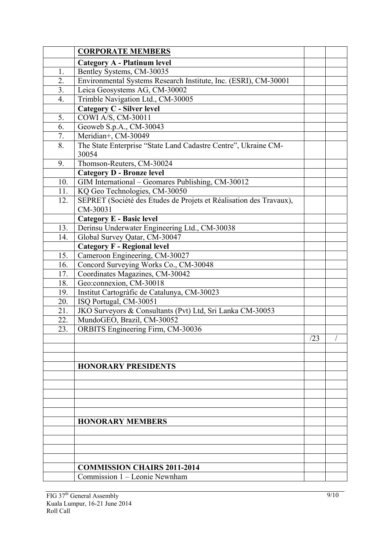|                | <b>CORPORATE MEMBERS</b>                                                       |     |  |
|----------------|--------------------------------------------------------------------------------|-----|--|
|                | Category A - Platinum level                                                    |     |  |
| 1.             | Bentley Systems, CM-30035                                                      |     |  |
| 2.             | Environmental Systems Research Institute, Inc. (ESRI), CM-30001                |     |  |
| 3 <sub>1</sub> | Leica Geosystems AG, CM-30002                                                  |     |  |
| 4.             | Trimble Navigation Ltd., CM-30005                                              |     |  |
|                | <b>Category C - Silver level</b>                                               |     |  |
| 5.             | COWI A/S, CM-30011                                                             |     |  |
| 6.             | Geoweb S.p.A., CM-30043                                                        |     |  |
| 7.             | Meridian+, CM-30049                                                            |     |  |
| 8.             | The State Enterprise "State Land Cadastre Centre", Ukraine CM-<br>30054        |     |  |
| 9.             | Thomson-Reuters, CM-30024                                                      |     |  |
|                | <b>Category D - Bronze level</b>                                               |     |  |
| 10.            | GIM International - Geomares Publishing, CM-30012                              |     |  |
| 11.            | KQ Geo Technologies, CM-30050                                                  |     |  |
| 12.            | SEPRET (Société des Etudes de Projets et Réalisation des Travaux),<br>CM-30031 |     |  |
|                | <b>Category E - Basic level</b>                                                |     |  |
| 13.            | Derinsu Underwater Engineering Ltd., CM-30038                                  |     |  |
| 14.            | Global Survey Qatar, CM-30047                                                  |     |  |
|                | <b>Category F - Regional level</b>                                             |     |  |
| 15.            | Cameroon Engineering, CM-30027                                                 |     |  |
| 16.            | Concord Surveying Works Co., CM-30048                                          |     |  |
| 17.            | Coordinates Magazines, CM-30042                                                |     |  |
| 18.            | Geo:connexion, CM-30018                                                        |     |  |
| 19.            | Institut Cartogràfic de Catalunya, CM-30023                                    |     |  |
| 20.            | ISO Portugal, CM-30051                                                         |     |  |
| 21.            | JKO Surveyors & Consultants (Pvt) Ltd, Sri Lanka CM-30053                      |     |  |
| 22.            | MundoGEO, Brazil, CM-30052                                                     |     |  |
| 23.            | <b>ORBITS</b> Engineering Firm, CM-30036                                       |     |  |
|                |                                                                                | /23 |  |
|                |                                                                                |     |  |
|                | <b>HONORARY PRESIDENTS</b>                                                     |     |  |
|                |                                                                                |     |  |
|                |                                                                                |     |  |
|                |                                                                                |     |  |
|                |                                                                                |     |  |
|                |                                                                                |     |  |
|                | <b>HONORARY MEMBERS</b>                                                        |     |  |
|                |                                                                                |     |  |
|                |                                                                                |     |  |
|                |                                                                                |     |  |
|                |                                                                                |     |  |
|                | <b>COMMISSION CHAIRS 2011-2014</b>                                             |     |  |
|                | Commission 1 – Leonie Newnham                                                  |     |  |